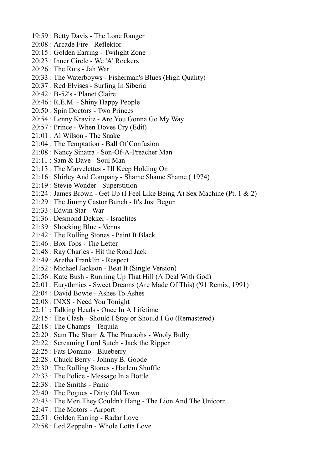- 19:59 : Betty Davis The Lone Ranger
- 20:08 : Arcade Fire Reflektor
- 20:15 : Golden Earring Twilight Zone
- 20:23 : Inner Circle We 'A' Rockers
- 20:26 : The Ruts Jah War
- 20:33 : The Waterboyws Fisherman's Blues (High Quality)
- 20:37 : Red Elvises Surfing In Siberia
- 20:42 : B-52's Planet Claire
- 20:46 : R.E.M. Shiny Happy People
- 20:50 : Spin Doctors Two Princes
- 20:54 : Lenny Kravitz Are You Gonna Go My Way
- 20:57 : Prince When Doves Cry (Edit)
- 21:01 : Al Wilson The Snake
- 21:04 : The Temptation Ball Of Confusion
- 21:08 : Nancy Sinatra Son-Of-A-Preacher Man
- 21:11 : Sam & Dave Soul Man
- 21:13 : The Marvelettes I'll Keep Holding On
- 21:16 : Shirley And Company Shame Shame Shame ( 1974)
- 21:19 : Stevie Wonder Superstition
- 21:24 : James Brown Get Up (I Feel Like Being A) Sex Machine (Pt. 1 & 2)
- 21:29 : The Jimmy Castor Bunch It's Just Begun
- 21:33 : Edwin Star War
- 21:36 : Desmond Dekker Israelites
- 21:39 : Shocking Blue Venus
- 21:42 : The Rolling Stones Paint It Black
- 21:46 : Box Tops The Letter
- 21:48 : Ray Charles Hit the Road Jack
- 21:49 : Aretha Franklin Respect
- 21:52 : Michael Jackson Beat It (Single Version)
- 21:56 : Kate Bush Running Up That Hill (A Deal With God)
- 22:01 : Eurythmics Sweet Dreams (Are Made Of This) ('91 Remix, 1991)
- 22:04 : David Bowie Ashes To Ashes
- 22:08 : INXS Need You Tonight
- 22:11 : Talking Heads Once In A Lifetime
- 22:15 : The Clash Should I Stay or Should I Go (Remastered)
- 22:18 : The Champs Tequila
- 22:20 : Sam The Sham & The Pharaohs Wooly Bully
- 22:22 : Screaming Lord Sutch Jack the Ripper
- 22:25 : Fats Domino Blueberry
- 22:28 : Chuck Berry Johnny B. Goode
- 22:30 : The Rolling Stones Harlem Shuffle
- 22:33 : The Police Message In a Bottle
- 22:38 : The Smiths Panic
- 22:40 : The Pogues Dirty Old Town
- 22:43 : The Men They Couldn't Hang The Lion And The Unicorn
- 22:47 : The Motors Airport
- 22:51 : Golden Earring Radar Love
- 22:58 : Led Zeppelin Whole Lotta Love